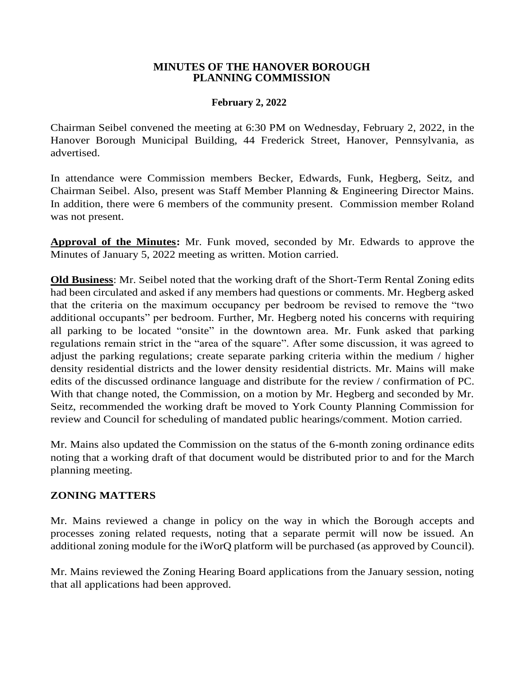## **MINUTES OF THE HANOVER BOROUGH PLANNING COMMISSION**

## **February 2, 2022**

Chairman Seibel convened the meeting at 6:30 PM on Wednesday, February 2, 2022, in the Hanover Borough Municipal Building, 44 Frederick Street, Hanover, Pennsylvania, as advertised.

In attendance were Commission members Becker, Edwards, Funk, Hegberg, Seitz, and Chairman Seibel. Also, present was Staff Member Planning & Engineering Director Mains. In addition, there were 6 members of the community present. Commission member Roland was not present.

**Approval of the Minutes:** Mr. Funk moved, seconded by Mr. Edwards to approve the Minutes of January 5, 2022 meeting as written. Motion carried.

**Old Business**: Mr. Seibel noted that the working draft of the Short-Term Rental Zoning edits had been circulated and asked if any members had questions or comments. Mr. Hegberg asked that the criteria on the maximum occupancy per bedroom be revised to remove the "two additional occupants" per bedroom. Further, Mr. Hegberg noted his concerns with requiring all parking to be located "onsite" in the downtown area. Mr. Funk asked that parking regulations remain strict in the "area of the square". After some discussion, it was agreed to adjust the parking regulations; create separate parking criteria within the medium / higher density residential districts and the lower density residential districts. Mr. Mains will make edits of the discussed ordinance language and distribute for the review / confirmation of PC. With that change noted, the Commission, on a motion by Mr. Hegberg and seconded by Mr. Seitz, recommended the working draft be moved to York County Planning Commission for review and Council for scheduling of mandated public hearings/comment. Motion carried.

Mr. Mains also updated the Commission on the status of the 6-month zoning ordinance edits noting that a working draft of that document would be distributed prior to and for the March planning meeting.

## **ZONING MATTERS**

Mr. Mains reviewed a change in policy on the way in which the Borough accepts and processes zoning related requests, noting that a separate permit will now be issued. An additional zoning module for the iWorQ platform will be purchased (as approved by Council).

Mr. Mains reviewed the Zoning Hearing Board applications from the January session, noting that all applications had been approved.